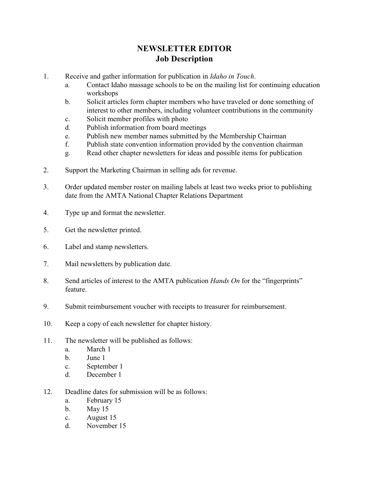## **NEWSLETTER EDITOR Job Description**

- 1. Receive and gather information for publication in *Idaho in Touch*.
	- a. Contact Idaho massage schools to be on the mailing list for continuing education workshops
	- b. Solicit articles form chapter members who have traveled or done something of interest to other members, including volunteer contributions in the community
	- c. Solicit member profiles with photo
	- d. Publish information from board meetings
	- e. Publish new member names submitted by the Membership Chairman
	- f. Publish state convention information provided by the convention chairman
	- g. Read other chapter newsletters for ideas and possible items for publication
- 2. Support the Marketing Chairman in selling ads for revenue.
- 3. Order updated member roster on mailing labels at least two weeks prior to publishing date from the AMTA National Chapter Relations Department
- 4. Type up and format the newsletter.
- 5. Get the newsletter printed.
- 6. Label and stamp newsletters.
- 7. Mail newsletters by publication date.
- 8. Send articles of interest to the AMTA publication *Hands On* for the "fingerprints" feature.
- 9. Submit reimbursement voucher with receipts to treasurer for reimbursement.
- 10. Keep a copy of each newsletter for chapter history.
- 11. The newsletter will be published as follows:
	- a. March 1
	- b. June 1
	- c. September 1
	- d. December 1
- 12. Deadline dates for submission will be as follows:
	- a. February 15
	- b. May 15
	- c. August 15
	- d. November 15